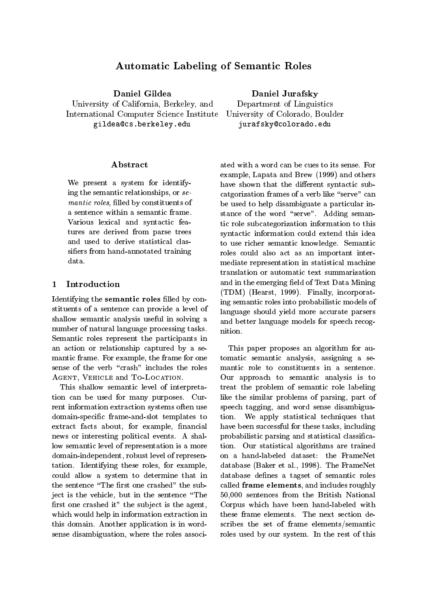# Automatic Labeling of Semantic Roles

Daniel Gildea University of California, Berkeley, and International Computer Science Institute gildea@cs.berkeley.edu

#### A hstract

We present a system for identifying the semantic relationships, or semantic roles, filled by constituents of a sentence within a semantic frame. Various lexical and syntactic features are derived from parse trees and used to derive statistical classifiers from hand-annotated training data.

#### $\mathbf{1}$ Introduction

Identifying the semantic roles filled by constituents of a sentence can provide a level of shallow semantic analysis useful in solving a number of natural language processing tasks. Semantic roles represent the participants in an action or relationship captured by a semantic frame. For example, the frame for one sense of the verb "crash" includes the roles AGENT, VEHICLE and TO-LOCATION.

This shallow semantic level of interpretation can be used for many purposes. Current information extraction systems often use domain-specic frame-and-slot templates to extract facts about, for example, financial news or interesting political events. A shallow semantic level of representation is a more domain-independent, robust level of representation. Identifying these roles, for example, could allow a system to determine that in the sentence "The first one crashed" the subject is the vehicle, but in the sentence "The first one crashed it" the subject is the agent, which would help in information extraction in this domain. Another application is in wordsense disambiguation, where the roles associ-

Daniel Jurafsky  $\mathbb{L}$  . The continuum of Linguistics continuum of  $\mathbb{L}$ University of Colorado, Boulder

jurafsky@colorado.edu

ated with a word can be cues to its sense. For example, Lapata and Brew (1999) and others have shown that the different syntactic subcatgorization frames of a verb like "serve" can be used to help disambiguate a particular instance of the word "serve". Adding semantic role subcategorization information to this syntactic information could extend this idea to use richer semantic knowledge. Semantic roles could also act as an important intermediate representation in statistical machine translation or automatic text summarization and in the emerging field of Text Data Mining (TDM) (Hearst, 1999). Finally, incorporating semantic roles into probabilistic models of language should yield more accurate parsers and better language models for speech recognition.

This paper proposes an algorithm for automatic semantic analysis, assigning a semantic role to constituents in a sentence. Our approach to semantic analysis is to treat the problem of semantic role labeling like the similar problems of parsing, part of speech tagging, and word sense disambiguation. We apply statistical techniques that have been successful for these tasks, including probabilistic parsing and statistical classication. Our statistical algorithms are trained on a hand-labeled dataset: the FrameNet database (Baker et al., 1998). The FrameNet database defines a tagset of semantic roles called frame elements, and includes roughly 50,000 sentences from the British National Corpus which have been hand-labeled with these frame elements. The next section describes the set of frame elements/semantic roles used by our system. In the rest of this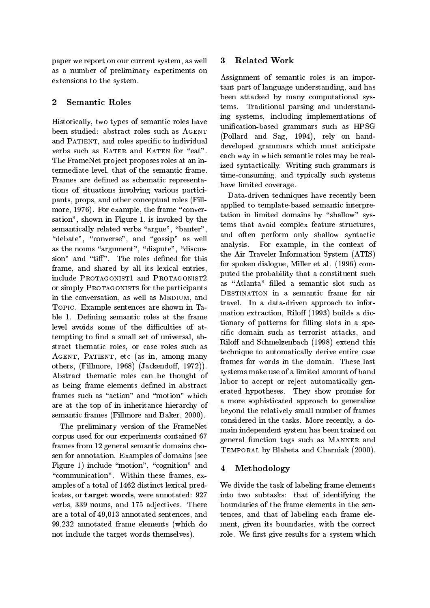paper we report on our current system, as well as a number of preliminary experiments on extensions to the system.

## 2 Semantic Roles

Historically, two types of semantic roles have been studied: abstract roles such as AGENT and PATIENT, and roles specific to individual verbs such as EATER and EATEN for "eat". The FrameNet project proposes roles at an intermediate level, that of the semantic frame. Frames are defined as schematic representations of situations involving various participants, props, and other conceptual roles (Fillmore,  $1976$ ). For example, the frame "conversation", shown in Figure 1, is invoked by the semantically related verbs "argue", "banter", "debate", "converse", and "gossip" as well  $\overline{a}$  and one as the nouns "argument", "dispute", "discussion" and "tiff". The roles defined for this frame, and shared by all its lexical entries, include PROTAGONIST1 and PROTAGONIST2 or simply PROTAGONISTS for the participants in the conversation, as well as MEDIUM, and Topic. Example sentences are shown in Table 1. Defining semantic roles at the frame level avoids some of the difficulties of attempting to find a small set of universal, abstract thematic roles, or case roles such as AGENT, PATIENT, etc (as in, among many others, (Fillmore, 1968) (Jackendoff, 1972)). Abstract thematic roles can be thought of as being frame elements defined in abstract frames such as "action" and "motion" which are at the top of in inheritance hierarchy of semantic frames (Fillmore and Baker, 2000).

The preliminary version of the FrameNet corpus used for our experiments contained 67 frames from 12 general semantic domains chosen for annotation. Examples of domains (see Figure 1) include "motion", "cognition" and  $4$ "communication". Within these frames, examples of a total of 1462 distinct lexical predicates, or target words, were annotated: 927 verbs, 339 nouns, and 175 adjectives. There are a total of 49,013 annotated sentences, and 99,232 annotated frame elements (which do not include the target words themselves).

#### **Related Work** 3

Assignment of semantic roles is an important part of language understanding, and has been attacked by many computational systems. Traditional parsing and understanding systems, including implementations of unication-based grammars such as HPSG (Pollard and Sag, 1994), rely on handdeveloped grammars which must anticipate each way in which semantic roles may be realized syntactically. Writing such grammars is time-consuming, and typically such systems have limited coverage.

Data-driven techniques have recently been applied to template-based semantic interpre $tation$  in limited domains by "shallow" systems that avoid complex feature structures, and often perform only shallow syntactic For example, in the context of the Air Traveler Information System (ATIS) for spoken dialogue, Miller et al. (1996) computed the probability that a constituent such as "Atlanta" filled a semantic slot such as DESTINATION in a semantic frame for air travel. In a data-driven approach to information extraction, Riloff (1993) builds a dictionary of patterns for filling slots in a specific domain such as terrorist attacks, and Riloff and Schmelzenbach (1998) extend this technique to automatically derive entire case frames for words in the domain. These last systems make use of a limited amount of hand labor to accept or reject automatically generated hypotheses. They show promise for a more sophisticated approach to generalize beyond the relatively small number of frames considered in the tasks. More recently, a domain independent system has been trained on general function tags such as Manner and Temporal by Blaheta and Charniak (2000).

## **Methodology**

We divide the task of labeling frame elements into two subtasks: that of identifying the boundaries of the frame elements in the sentences, and that of labeling each frame element, given its boundaries, with the correct role. We first give results for a system which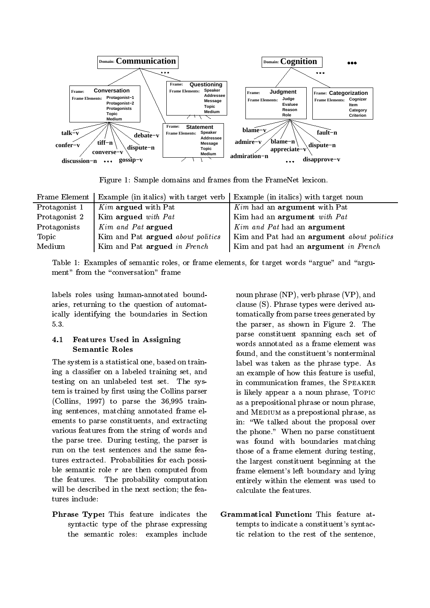

Figure 1: Sample domains and frames from the FrameNet lexicon.

| Frame Element | Example (in italics) with target verb | Example (in italics) with target noun      |
|---------------|---------------------------------------|--------------------------------------------|
| Protagonist 1 | <i>Kim</i> argued with Pat            | Kim had an argument with Pat               |
| Protagonist 2 | Kim argued with Pat                   | Kim had an argument with Pat               |
| Protagonists  | Kim and Pat argued                    | Kim and Pat had an argument                |
| Topic         | Kim and Pat argued about politics     | Kim and Pat had an argument about politics |
| Medium        | Kim and Pat argued in French          | Kim and pat had an argument in French      |

Table 1: Examples of semantic roles, or frame elements, for target words "argue" and "argument" from the "conversation" frame

labels roles using human-annotated boundaries, returning to the question of automatically identifying the boundaries in Section 5.3.

#### $4.1$ Features Used in Assigning Semantic Roles

The system is a statistical one, based on training a classier on a labeled training set, and testing on an unlabeled test set. The system is trained by first using the Collins parser (Collins, 1997) to parse the 36,995 training sentences, matching annotated frame elements to parse constituents, and extracting various features from the string of words and the parse tree. During testing, the parser is run on the test sentences and the same features extracted. Probabilities for each possible semantic role  $r$  are then computed from the features. The probability computation will be described in the next section; the features include:

Phrase Type: This feature indicates the syntactic type of the phrase expressing the semantic roles: examples include

noun phrase (NP), verb phrase (VP), and clause (S). Phrase types were derived automatically from parse trees generated by the parser, as shown in Figure 2. The parse constituent spanning each set of words annotated as a frame element was found, and the constituent's nonterminal label was taken as the phrase type. As an example of how this feature is useful, in communication frames, the Speaker is likely appear a a noun phrase, Topic as a prepositional phrase or noun phrase, and MEDIUM as a prepostional phrase, as in: "We talked about the proposal over the phone." When no parse constituent was found with boundaries matching those of a frame element during testing, the largest constituent beginning at the frame element's left boundary and lying entirely within the element was used to calculate the features.

Grammatical Function: This feature attempts to indicate a constituent's syntactic relation to the rest of the sentence,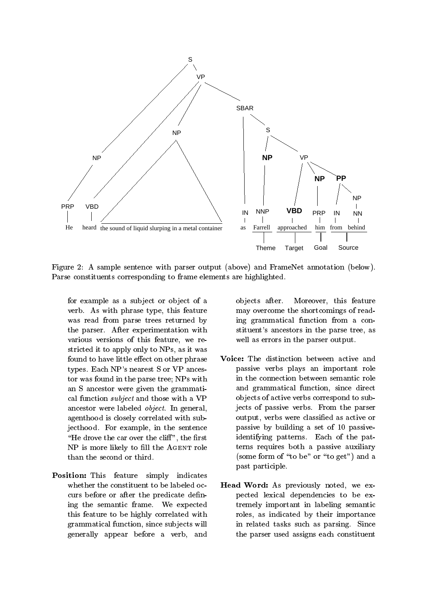

Figure 2: A sample sentence with parser output (above) and FrameNet annotation (below). Parse constituents corresponding to frame elements are highlighted.

for example as a subject or object of a bijects after. verb. As with phrase type, this feature was read from parse trees returned by the parser. After experimentation with various versions of this feature, we restricted it to apply only to NPs, as it was found to have little effect on other phrase types. Each NP's nearest S or VP ancestor was found in the parse tree; NPs with an S ancestor were given the grammatical function subject and those with a VP ancestor were labeled object. In general, agenthood is closely correlated with subjecthood. For example, in the sentence "He drove the car over the cliff", the first NP is more likely to fill the AGENT role than the second or third.

Position: This feature simply indicates whether the constituent to be labeled occurs before or after the predicate dening the semantic frame. We expected this feature to be highly correlated with grammatical function, since sub jects will generally appear before a verb, and

Moreover, this feature may overcome the shortcomings of reading grammatical function from a constituent's ancestors in the parse tree, as well as errors in the parser output.

- Voice: The distinction between active and passive verbs plays an important role in the connection between semantic role and grammatical function, since direct ob jects of active verbs correspond to subjects of passive verbs. From the parser output, verbs were classied as active or passive by building a set of 10 passiveidentifying patterns. Each of the patterns requires both a passive auxiliary (some form of "to be" or "to get") and a past participle.
- Head Word: As previously noted, we expected lexical dependencies to be extremely important in labeling semantic roles, as indicated by their importance in related tasks such as parsing. Since the parser used assigns each constituent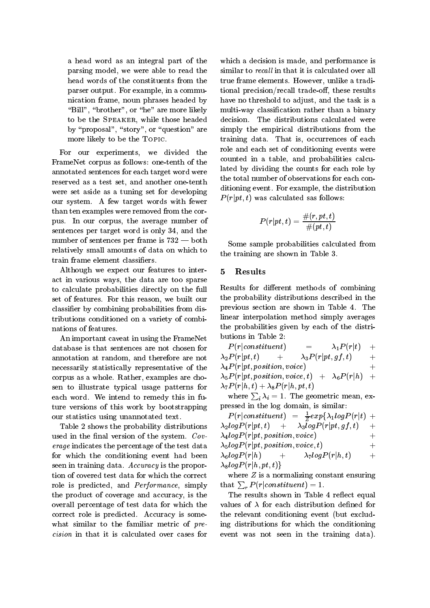a head word as an integral part of the parsing model, we were able to read the head words of the constituents from the parser output. For example, in a communication frame, noun phrases headed by "Bill", "brother", or "he" are more likely to be the Speaker, while those headed by "proposal", "story", or "question" are more likely to be the Topic.

For our experiments, we divided the FrameNet corpus as follows: one-tenth of the annotated sentences for each target word were reserved as a test set, and another one-tenth were set aside as a tuning set for developing our system. A few target words with fewer than ten examples were removed from the corpus. In our corpus, the average number of sentences per target word is only 34, and the number of sentences per frame is  $732 -$  both relatively small amounts of data on which to train frame element classiers.

Although we expect our features to interact in various ways, the data are too sparse to calculate probabilities directly on the full set of features. For this reason, we built our classier by combining probabilities from distributions conditioned on a variety of combinations of features.

An important caveat in using the FrameNet database is that sentences are not chosen for annotation at random, and therefore are not necessarily statistically representative of the corpus as a whole. Rather, examples are chosen to illustrate typical usage patterns for each word. We intend to remedy this in future versions of this work by bootstrapping our statistics using unannotated text.

Table 2 shows the probability distributions used in the final version of the system.  $Cov$ erage indicates the percentage of the test data for which the conditioning event had been  $\lambda_6 log P(r|h)$ seen in training data. Accuracy is the proportion of covered test data for which the correct role is predicted, and Performance, simply the product of coverage and accuracy, is the overall percentage of test data for which the correct role is predicted. Accuracy is somewhat similar to the familiar metric of precision in that it is calculated over cases for

which a decision is made, and performance is similar to *recall* in that it is calculated over all true frame elements. However, unlike a traditional precision/recall trade-off, these results have no threshold to adjust, and the task is a multi-way classication rather than a binary decision. The distributions calculated were simply the empirical distributions from the training data. That is, occurrences of each role and each set of conditioning events were counted in a table, and probabilities calculated by dividing the counts for each role by the total number of observations for each conditioning event. For example, the distribution  $P(r|pt,t)$  was calculated sas follows:

$$
P(r|pt,t)=\frac{\#(r,pt,t)}{\#(pt,t)}
$$

Some sample probabilities calculated from the training are shown in Table 3.

### 5 Results

Results for different methods of combining the probability distributions described in the previous section are shown in Table 4. The linear interpolation method simply averages the probabilities given by each of the distri-

 $P(r|constant) \qquad = \qquad \lambda_1 P(r|t) \quad +$  $\lambda_2P(r|pt,t) \qquad + \qquad \lambda_3P(r|pt,gf,t) \qquad +$  $\lambda_4P(r|pt, position, voice) \hspace{2.5cm} +$  $\lambda_5 P(r|pt, position, voice, t) + \lambda_6 P(r|h) +$  $\lambda_7 P(r|h,t) + \lambda_8 P(r|h, pt, t)$ 

where  $\sum_i \lambda_i = 1$ . The geometric mean, expressed in the log domain, is similar:

 $P(r|constant)$  =  $\frac{1}{Z} exp\{\lambda_1 log P(r|t) +$  $\lambda_2 log P(r|pt,t) \quad \stackrel{\cdot}{+} \quad \lambda_3 log \overset{\text{\normalsize{$P$}}}(r|pt, gf, t) \quad \rightarrow \quad$  $\lambda_4 log P(r|pt, position, voice)$  +  $\lambda_5 log P(r|pt, position, voice, t)$  +  $\lambda_7logP(r|h,t)$  +  $\lambda_8 log P(r|h, pt, t)$ 

where  $Z$  is a normalizing constant ensuring  $\text{that} \, \sum_{r} P(r \vert constituent) = 1.$ 

The results shown in Table 4 reflect equal values of  $\lambda$  for each distribution defined for the relevant conditioning event (but excluding distributions for which the conditioning event was not seen in the training data).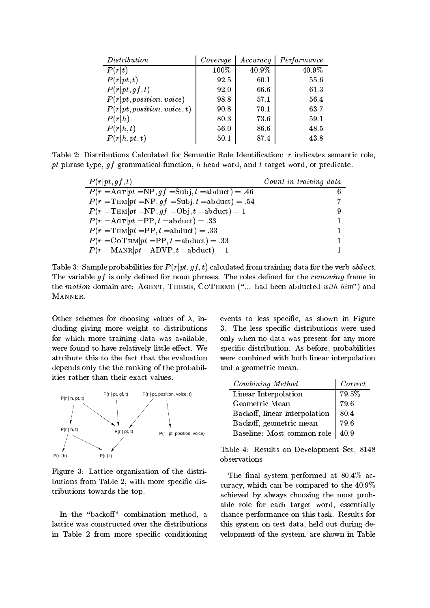| Distribution                | Coverage | Accuracy | Performance |  |
|-----------------------------|----------|----------|-------------|--|
| P(r t)                      | 100%     | 40.9%    | 40.9%       |  |
| P(r pt, t)                  | 92.5     | 60.1     | 55.6        |  |
| P(r pt, gf, t)              | 92.0     | 66.6     | 61.3        |  |
| P(r pt, position, voice)    | 98.8     | 57.1     | 56.4        |  |
| P(r pt, position, voice, t) | 90.8     | 70.1     | 63.7        |  |
| P(r h)                      | 80.3     | 73.6     | 59.1        |  |
| P(r h,t)                    | 56.0     | 86.6     | 48.5        |  |
| P(r h, pt, t)               | 50.1     | 87.4     | 43.8        |  |

Table 2: Distributions Calculated for Semantic Role Identification:  $r$  indicates semantic role, pt phrase type, gf grammatical function, <sup>h</sup> head word, and <sup>t</sup> target word, or predicate.

| P(r pt, gf, t)                                                | Count in training data |
|---------------------------------------------------------------|------------------------|
| $P(r = A \text{GT} pt = NP, gf = Subj, t = abduct) = .46$     |                        |
| $P(r = \text{THM} pt = NP, gf = Subj, t = abduct) = .54$      |                        |
| $P(r = \text{THM} pt = NP, gf = Obj, t = abduct) = 1$         |                        |
| $P(r = \text{AGT} pt = \text{PP}, t = \text{abduct}) = .33$   |                        |
| $P(r = \text{THM} pt = \text{PP}, t = \text{abduct}) = .33$   |                        |
| $P(r = \text{CoThM} pt = \text{PP}, t = \text{abduct}) = .33$ |                        |
| $P(r = \text{MANR} pt = \text{ADVP}, t = \text{abduct}) = 1$  |                        |

Table 3: Sample probabilities for  $P(r|pt, gf, t)$  calculated from training data for the verb *abduct*. The variable  $gf$  is only defined for noun phrases. The roles defined for the *removing* frame in the motion domain are: AGENT, THEME, COTHEME ("... had been abducted with him") and MANNER.

Other schemes for choosing values of  $\lambda$ , including giving more weight to distributions for which more training data was available, were found to have relatively little effect. We attribute this to the fact that the evaluation depends only the the ranking of the probabilities rather than their exact values.



Figure 3: Lattice organization of the distributions from Table 2, with more specific distributions towards the top.

In the "backoff" combination method, a lattice was constructed over the distributions in Table 2 from more specific conditioning

events to less specic, as shown in Figure 3. The less specic distributions were used only when no data was present for any more specic distribution. As before, probabilities were combined with both linear interpolation and a geometric mean.

| Combining Method                     | Correct                                       |
|--------------------------------------|-----------------------------------------------|
| Linear Interpolation                 |                                               |
| Geometric Mean                       | $\begin{array}{l} 79.5\% \\ 79.6 \end{array}$ |
| Backoff, linear interpolation   80.4 |                                               |
| Backoff, geometric mean              | 79.6                                          |
| Baseline: Most common role   40.9    |                                               |

Table 4: Results on Development Set, 8148 observations

The final system performed at  $80.4\%$  accuracy, which can be compared to the 40.9% achieved by always choosing the most probable role for each target word, essentially chance performance on this task. Results for this system on test data, held out during development of the system, are shown in Table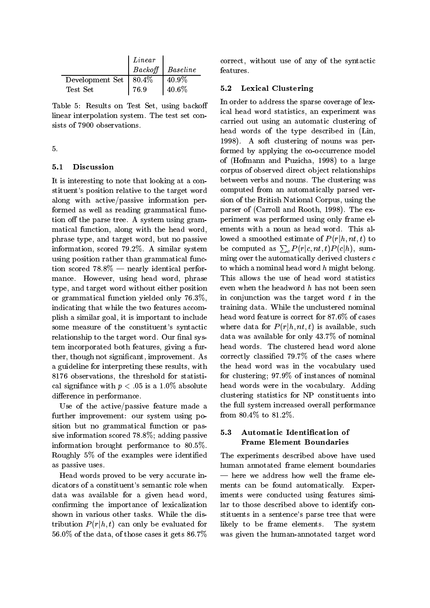|                         | Linear |                    | corre   |
|-------------------------|--------|--------------------|---------|
|                         |        | Backoff   Baseline | $f$ eat |
| Development Set   80.4% |        | $40.9\%$           |         |
| Test Set                | 76.9   | 40.6%              | 5.2     |

Table 5: Results on Test Set, using backo linear interpolation system. The test set consists of 7900 observations.

#### **Discussion**  $5.1$

It is interesting to note that looking at a constituent's position relative to the target word along with active/passive information performed as well as reading grammatical function off the parse tree. A system using grammatical function, along with the head word, phrase type, and target word, but no passive information, scored 79.2%. A similar system using position rather than grammatical function scored  $78.8\%$  — nearly identical performance. However, using head word, phrase type, and target word without either position or grammatical function yielded only 76.3%, indicating that while the two features accomplish a similar goal, it is important to include some measure of the constituent's syntactic relationship to the target word. Our final system incorporated both features, giving a further, though not signicant, improvement. As a guideline for interpreting these results, with 8176 observations, the threshold for statistical signifance with  $p < .05$  is a 1.0% absolute difference in performance.

Use of the active/passive feature made a further improvement: our system using position but no grammatical function or passive information scored 78.8%; adding passive information brought performance to 80.5%. Roughly 5% of the examples were identied as passive uses.

Head words proved to be very accurate indicators of a constituent's semantic role when data was available for a given head word, confirming the importance of lexicalization shown in various other tasks. While the distribution  $P(r|h, t)$  can only be evaluated for 56.0% of the data, of those cases it gets 86.7% correct, without use of any of the syntactic features.

### 5.2 Lexical Clustering

In order to address the sparse coverage of lexical head word statistics, an experiment was carried out using an automatic clustering of head words of the type described in (Lin, 1998). A soft clustering of nouns was performed by applying the co-occurrence model of (Hofmann and Puzicha, 1998) to a large corpus of observed direct ob ject relationships between verbs and nouns. The clustering was computed from an automatically parsed version of the British National Corpus, using the parser of (Carroll and Rooth, 1998). The experiment was performed using only frame elements with a noun as head word. This allowed a smoothed estimate of  $P(r|h, nt, t)$  to be computed as  $\sum_c P(r|c,nt,t) P(c|h), \;{\rm sum}$ ming over the automatically derived clusters  $c$ to which a nominal head word  $h$  might belong. This allows the use of head word statistics even when the headword  $h$  has not been seen in conjunction was the target word  $t$  in the training data. While the unclustered nominal head word feature is correct for 87.6% of cases where data for  $P(r|h, nt, t)$  is available, such data was available for only 43.7% of nominal head words. The clustered head word alone correctly classied 79.7% of the cases where the head word was in the vocabulary used for clustering; 97.9% of instances of nominal head words were in the vocabulary. Adding clustering statistics for NP constituents into the full system increased overall performance from 80.4% to 81.2%.

## 5.3 Automatic Identification of Frame Element Boundaries

The experiments described above have used human annotated frame element boundaries  $-$  here we address how well the frame elements can be found automatically. Experiments were conducted using features similar to those described above to identify constituents in a sentence's parse tree that were likely to be frame elements. The system was given the human-annotated target word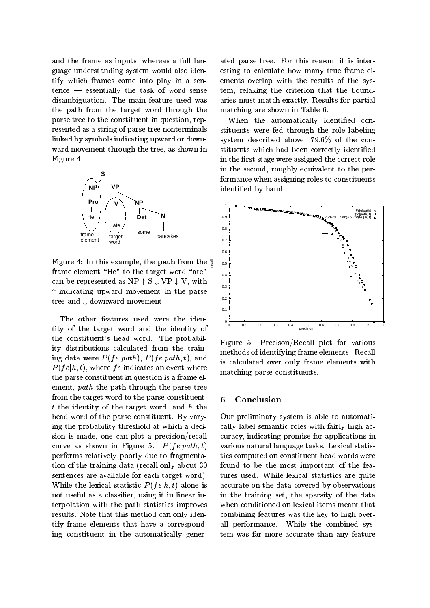and the frame as inputs, whereas a full language understanding system would also identify which frames come into play in a sen $tence$   $-$  essentially the task of word sense disambiguation. The main feature used was the path from the target word through the parse tree to the constituent in question, represented as a string of parse tree nonterminals linked by symbols indicating upward or downward movement through the tree, as shown in Figure 4.



Figure 4: In this example, the  ${\tt path}$  from the  $\overline{\overline{\overline{\overline{\overline{g}}}}}$  0.5  $\vdash$ frame element "He" to the target word "ate" can be represented as NP  $\uparrow$  S  $\downarrow$  VP  $\downarrow$  V, with  $\uparrow$  indicating upward movement in the parse tree and  $\downarrow$  downward movement.

The other features used were the identity of the target word and the identity of the constituent's head word. The probability distributions calculated from the training data were  $P(fe | path), P(f e | path, t),$  and  $P(f e | h, t)$ , where f e indicates an event where  $\frac{1}{f}$ the parse constituent in question is a frame element, path the path through the parse tree from the target word to the parse constituent,  $\boldsymbol{6}$ t the identity of the tour design word, where  $\sim$  the t head word of the parse constituent. By varying the probability threshold at which a decision is made, one can plot a precision/recall curve as shown in Figure 5.  $P(f \cdot e | path, t)$ performs relatively poorly due to fragmentation of the training data (recall only about 30 sentences are available for each target word). While the lexical statistic  $P(f e | h, t)$  alone is not useful as a classier, using it in linear interpolation with the path statistics improves results. Note that this method can only identify frame elements that have a corresponding constituent in the automatically gener-

ated parse tree. For this reason, it is interesting to calculate how many true frame elements overlap with the results of the system, relaxing the criterion that the boundaries must match exactly. Results for partial matching are shown in Table 6.

When the automatically identified constituents were fed through the role labeling system described above, 79.6% of the constituents which had been correctly identified in the first stage were assigned the correct role in the second, roughly equivalent to the performance when assigning roles to constituents identied by hand.



Figure 5: Precison/Recall plot for various methods of identifying frame elements. Recall is calculated over only frame elements with matching parse constituents.

### **Conclusion**

Our preliminary system is able to automatically label semantic roles with fairly high accuracy, indicating promise for applications in various natural language tasks. Lexical statistics computed on constituent head words were found to be the most important of the features used. While lexical statistics are quite accurate on the data covered by observations in the training set, the sparsity of the data when conditioned on lexical items meant that combining features was the key to high overall performance. While the combined system was far more accurate than any feature